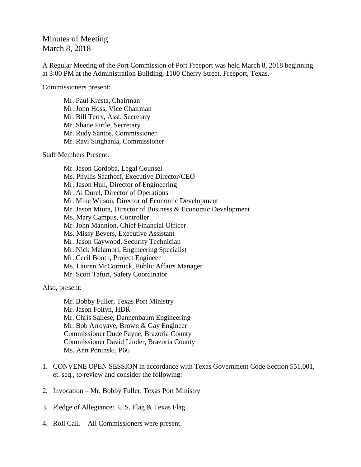## Minutes of Meeting March 8, 2018

A Regular Meeting of the Port Commission of Port Freeport was held March 8, 2018 beginning at 3:00 PM at the Administration Building, 1100 Cherry Street, Freeport, Texas.

Commissioners present:

Mr. Paul Kresta, Chairman Mr. John Hoss, Vice Chairman Mr. Bill Terry, Asst. Secretary Mr. Shane Pirtle, Secretary Mr. Rudy Santos, Commissioner Mr. Ravi Singhania, Commissioner

Staff Members Present:

Mr. Jason Cordoba, Legal Counsel Ms. Phyllis Saathoff, Executive Director/CEO Mr. Jason Hull, Director of Engineering Mr. Al Durel, Director of Operations Mr. Mike Wilson, Director of Economic Development Mr. Jason Miura, Director of Business & Economic Development Ms. Mary Campus, Controller Mr. John Mannion, Chief Financial Officer Ms. Missy Bevers, Executive Assistant Mr. Jason Caywood, Security Technician Mr. Nick Malambri, Engineering Specialist Mr. Cecil Booth, Project Engineer Ms. Lauren McCormick, Public Affairs Manager Mr. Scott Tafuri, Safety Coordinator

Also, present:

Mr. Bobby Fuller, Texas Port Ministry Mr. Jason Foltyn, HDR Mr. Chris Sallese, Dannenbaum Engineering Mr. Bob Arroyave, Brown & Gay Engineer Commissioner Dude Payne, Brazoria County Commissioner David Linder, Brazoria County Ms. Ann Poninski, P66

- 1. CONVENE OPEN SESSION in accordance with Texas Government Code Section 551.001, et. seq., to review and consider the following:
- 2. Invocation Mr. Bobby Fuller, Texas Port Ministry
- 3. Pledge of Allegiance: U.S. Flag & Texas Flag
- 4. Roll Call. All Commissioners were present.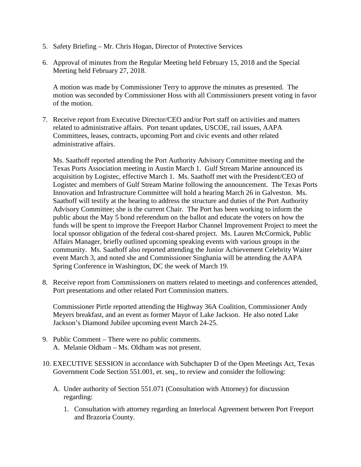- 5. Safety Briefing Mr. Chris Hogan, Director of Protective Services
- 6. Approval of minutes from the Regular Meeting held February 15, 2018 and the Special Meeting held February 27, 2018.

A motion was made by Commissioner Terry to approve the minutes as presented. The motion was seconded by Commissioner Hoss with all Commissioners present voting in favor of the motion.

7. Receive report from Executive Director/CEO and/or Port staff on activities and matters related to administrative affairs. Port tenant updates, USCOE, rail issues, AAPA Committees, leases, contracts, upcoming Port and civic events and other related administrative affairs.

Ms. Saathoff reported attending the Port Authority Advisory Committee meeting and the Texas Ports Association meeting in Austin March 1. Gulf Stream Marine announced its acquisition by Logistec, effective March 1. Ms. Saathoff met with the President/CEO of Logistec and members of Gulf Stream Marine following the announcement. The Texas Ports Innovation and Infrastructure Committee will hold a hearing March 26 in Galveston. Ms. Saathoff will testify at the hearing to address the structure and duties of the Port Authority Advisory Committee; she is the current Chair. The Port has been working to inform the public about the May 5 bond referendum on the ballot and educate the voters on how the funds will be spent to improve the Freeport Harbor Channel Improvement Project to meet the local sponsor obligation of the federal cost-shared project. Ms. Lauren McCormick, Public Affairs Manager, briefly outlined upcoming speaking events with various groups in the community. Ms. Saathoff also reported attending the Junior Achievement Celebrity Waiter event March 3, and noted she and Commissioner Singhania will be attending the AAPA Spring Conference in Washington, DC the week of March 19.

8. Receive report from Commissioners on matters related to meetings and conferences attended, Port presentations and other related Port Commission matters.

Commissioner Pirtle reported attending the Highway 36A Coalition, Commissioner Andy Meyers breakfast, and an event as former Mayor of Lake Jackson. He also noted Lake Jackson's Diamond Jubilee upcoming event March 24-25.

- 9. Public Comment There were no public comments. A. Melanie Oldham – Ms. Oldham was not present.
- 10. EXECUTIVE SESSION in accordance with Subchapter D of the Open Meetings Act, Texas Government Code Section 551.001, et. seq., to review and consider the following:
	- A. Under authority of Section 551.071 (Consultation with Attorney) for discussion regarding:
		- 1. Consultation with attorney regarding an Interlocal Agreement between Port Freeport and Brazoria County.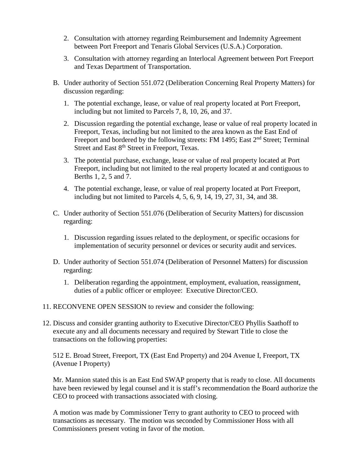- 2. Consultation with attorney regarding Reimbursement and Indemnity Agreement between Port Freeport and Tenaris Global Services (U.S.A.) Corporation.
- 3. Consultation with attorney regarding an Interlocal Agreement between Port Freeport and Texas Department of Transportation.
- B. Under authority of Section 551.072 (Deliberation Concerning Real Property Matters) for discussion regarding:
	- 1. The potential exchange, lease, or value of real property located at Port Freeport, including but not limited to Parcels 7, 8, 10, 26, and 37.
	- 2. Discussion regarding the potential exchange, lease or value of real property located in Freeport, Texas, including but not limited to the area known as the East End of Freeport and bordered by the following streets: FM 1495; East 2<sup>nd</sup> Street; Terminal Street and East 8<sup>th</sup> Street in Freeport, Texas.
	- 3. The potential purchase, exchange, lease or value of real property located at Port Freeport, including but not limited to the real property located at and contiguous to Berths 1, 2, 5 and 7.
	- 4. The potential exchange, lease, or value of real property located at Port Freeport, including but not limited to Parcels 4, 5, 6, 9, 14, 19, 27, 31, 34, and 38.
- C. Under authority of Section 551.076 (Deliberation of Security Matters) for discussion regarding:
	- 1. Discussion regarding issues related to the deployment, or specific occasions for implementation of security personnel or devices or security audit and services.
- D. Under authority of Section 551.074 (Deliberation of Personnel Matters) for discussion regarding:
	- 1. Deliberation regarding the appointment, employment, evaluation, reassignment, duties of a public officer or employee: Executive Director/CEO.
- 11. RECONVENE OPEN SESSION to review and consider the following:
- 12. Discuss and consider granting authority to Executive Director/CEO Phyllis Saathoff to execute any and all documents necessary and required by Stewart Title to close the transactions on the following properties:

512 E. Broad Street, Freeport, TX (East End Property) and 204 Avenue I, Freeport, TX (Avenue I Property)

Mr. Mannion stated this is an East End SWAP property that is ready to close. All documents have been reviewed by legal counsel and it is staff's recommendation the Board authorize the CEO to proceed with transactions associated with closing.

A motion was made by Commissioner Terry to grant authority to CEO to proceed with transactions as necessary. The motion was seconded by Commissioner Hoss with all Commissioners present voting in favor of the motion.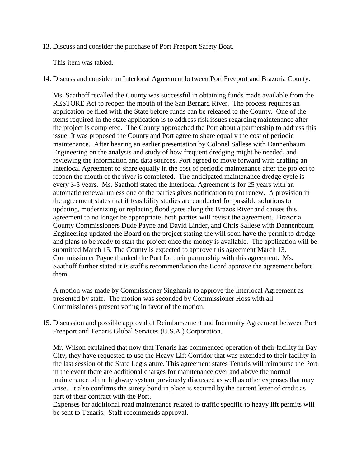13. Discuss and consider the purchase of Port Freeport Safety Boat.

This item was tabled.

14. Discuss and consider an Interlocal Agreement between Port Freeport and Brazoria County.

Ms. Saathoff recalled the County was successful in obtaining funds made available from the RESTORE Act to reopen the mouth of the San Bernard River. The process requires an application be filed with the State before funds can be released to the County. One of the items required in the state application is to address risk issues regarding maintenance after the project is completed. The County approached the Port about a partnership to address this issue. It was proposed the County and Port agree to share equally the cost of periodic maintenance. After hearing an earlier presentation by Colonel Sallese with Dannenbaum Engineering on the analysis and study of how frequent dredging might be needed, and reviewing the information and data sources, Port agreed to move forward with drafting an Interlocal Agreement to share equally in the cost of periodic maintenance after the project to reopen the mouth of the river is completed. The anticipated maintenance dredge cycle is every 3-5 years. Ms. Saathoff stated the Interlocal Agreement is for 25 years with an automatic renewal unless one of the parties gives notification to not renew. A provision in the agreement states that if feasibility studies are conducted for possible solutions to updating, modernizing or replacing flood gates along the Brazos River and causes this agreement to no longer be appropriate, both parties will revisit the agreement. Brazoria County Commissioners Dude Payne and David Linder, and Chris Sallese with Dannenbaum Engineering updated the Board on the project stating the will soon have the permit to dredge and plans to be ready to start the project once the money is available. The application will be submitted March 15. The County is expected to approve this agreement March 13. Commissioner Payne thanked the Port for their partnership with this agreement. Ms. Saathoff further stated it is staff's recommendation the Board approve the agreement before them.

A motion was made by Commissioner Singhania to approve the Interlocal Agreement as presented by staff. The motion was seconded by Commissioner Hoss with all Commissioners present voting in favor of the motion.

15. Discussion and possible approval of Reimbursement and Indemnity Agreement between Port Freeport and Tenaris Global Services (U.S.A.) Corporation.

Mr. Wilson explained that now that Tenaris has commenced operation of their facility in Bay City, they have requested to use the Heavy Lift Corridor that was extended to their facility in the last session of the State Legislature. This agreement states Tenaris will reimburse the Port in the event there are additional charges for maintenance over and above the normal maintenance of the highway system previously discussed as well as other expenses that may arise. It also confirms the surety bond in place is secured by the current letter of credit as part of their contract with the Port.

Expenses for additional road maintenance related to traffic specific to heavy lift permits will be sent to Tenaris. Staff recommends approval.